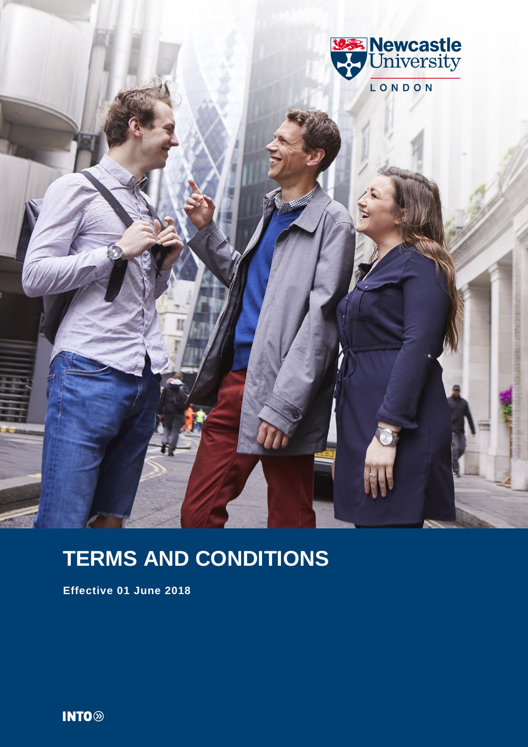

# **TERMS AND CONDITIONS**

**Effective 01 June 2018**

**INTO**<sup>®</sup>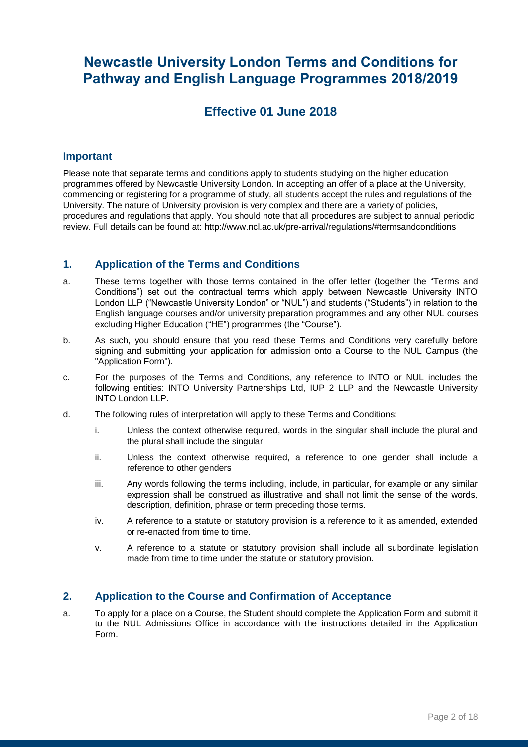# **Newcastle University London Terms and Conditions for Pathway and English Language Programmes 2018/2019**

## **Effective 01 June 2018**

#### **Important**

Please note that separate terms and conditions apply to students studying on the higher education programmes offered by Newcastle University London. In accepting an offer of a place at the University, commencing or registering for a programme of study, all students accept the rules and regulations of the University. The nature of University provision is very complex and there are a variety of policies, procedures and regulations that apply. You should note that all procedures are subject to annual periodic review. Full details can be found at: http://www.ncl.ac.uk/pre-arrival/regulations/#termsandconditions

#### **1. Application of the Terms and Conditions**

- a. These terms together with those terms contained in the offer letter (together the "Terms and Conditions") set out the contractual terms which apply between Newcastle University INTO London LLP ("Newcastle University London" or "NUL") and students ("Students") in relation to the English language courses and/or university preparation programmes and any other NUL courses excluding Higher Education ("HE") programmes (the "Course").
- b. As such, you should ensure that you read these Terms and Conditions very carefully before signing and submitting your application for admission onto a Course to the NUL Campus (the "Application Form").
- c. For the purposes of the Terms and Conditions, any reference to INTO or NUL includes the following entities: INTO University Partnerships Ltd, IUP 2 LLP and the Newcastle University INTO London LLP.
- d. The following rules of interpretation will apply to these Terms and Conditions:
	- i. Unless the context otherwise required, words in the singular shall include the plural and the plural shall include the singular.
	- ii. Unless the context otherwise required, a reference to one gender shall include a reference to other genders
	- iii. Any words following the terms including, include, in particular, for example or any similar expression shall be construed as illustrative and shall not limit the sense of the words, description, definition, phrase or term preceding those terms.
	- iv. A reference to a statute or statutory provision is a reference to it as amended, extended or re-enacted from time to time.
	- v. A reference to a statute or statutory provision shall include all subordinate legislation made from time to time under the statute or statutory provision.

#### **2. Application to the Course and Confirmation of Acceptance**

a. To apply for a place on a Course, the Student should complete the Application Form and submit it to the NUL Admissions Office in accordance with the instructions detailed in the Application Form.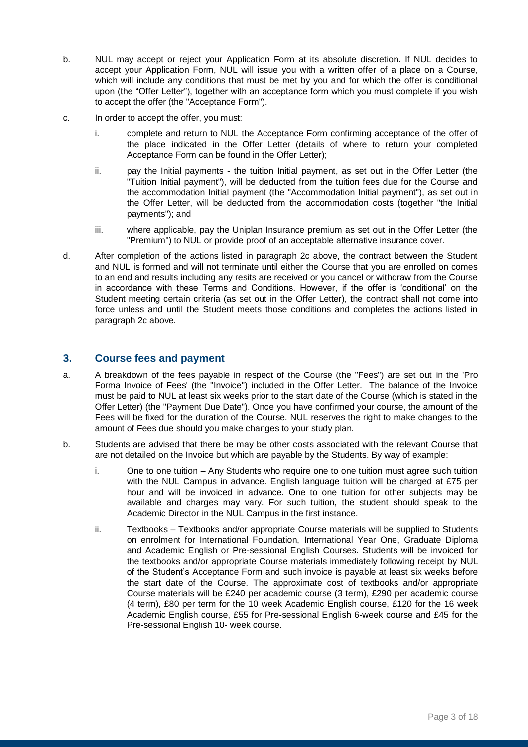- b. NUL may accept or reject your Application Form at its absolute discretion. If NUL decides to accept your Application Form, NUL will issue you with a written offer of a place on a Course, which will include any conditions that must be met by you and for which the offer is conditional upon (the "Offer Letter"), together with an acceptance form which you must complete if you wish to accept the offer (the "Acceptance Form").
- c. In order to accept the offer, you must:
	- i. complete and return to NUL the Acceptance Form confirming acceptance of the offer of the place indicated in the Offer Letter (details of where to return your completed Acceptance Form can be found in the Offer Letter);
	- ii. pay the Initial payments the tuition Initial payment, as set out in the Offer Letter (the "Tuition Initial payment"), will be deducted from the tuition fees due for the Course and the accommodation Initial payment (the "Accommodation Initial payment"), as set out in the Offer Letter, will be deducted from the accommodation costs (together "the Initial payments"); and
	- iii. where applicable, pay the Uniplan Insurance premium as set out in the Offer Letter (the "Premium") to NUL or provide proof of an acceptable alternative insurance cover.
- d. After completion of the actions listed in paragraph 2c above, the contract between the Student and NUL is formed and will not terminate until either the Course that you are enrolled on comes to an end and results including any resits are received or you cancel or withdraw from the Course in accordance with these Terms and Conditions. However, if the offer is 'conditional' on the Student meeting certain criteria (as set out in the Offer Letter), the contract shall not come into force unless and until the Student meets those conditions and completes the actions listed in paragraph 2c above.

#### **3. Course fees and payment**

- a. A breakdown of the fees payable in respect of the Course (the "Fees") are set out in the 'Pro Forma Invoice of Fees' (the "Invoice") included in the Offer Letter. The balance of the Invoice must be paid to NUL at least six weeks prior to the start date of the Course (which is stated in the Offer Letter) (the "Payment Due Date"). Once you have confirmed your course, the amount of the Fees will be fixed for the duration of the Course. NUL reserves the right to make changes to the amount of Fees due should you make changes to your study plan.
- b. Students are advised that there be may be other costs associated with the relevant Course that are not detailed on the Invoice but which are payable by the Students. By way of example:
	- i. One to one tuition Any Students who require one to one tuition must agree such tuition with the NUL Campus in advance. English language tuition will be charged at £75 per hour and will be invoiced in advance. One to one tuition for other subjects may be available and charges may vary. For such tuition, the student should speak to the Academic Director in the NUL Campus in the first instance.
	- ii. Textbooks Textbooks and/or appropriate Course materials will be supplied to Students on enrolment for International Foundation, International Year One, Graduate Diploma and Academic English or Pre-sessional English Courses. Students will be invoiced for the textbooks and/or appropriate Course materials immediately following receipt by NUL of the Student's Acceptance Form and such invoice is payable at least six weeks before the start date of the Course. The approximate cost of textbooks and/or appropriate Course materials will be £240 per academic course (3 term), £290 per academic course (4 term), £80 per term for the 10 week Academic English course, £120 for the 16 week Academic English course, £55 for Pre-sessional English 6-week course and £45 for the Pre-sessional English 10- week course.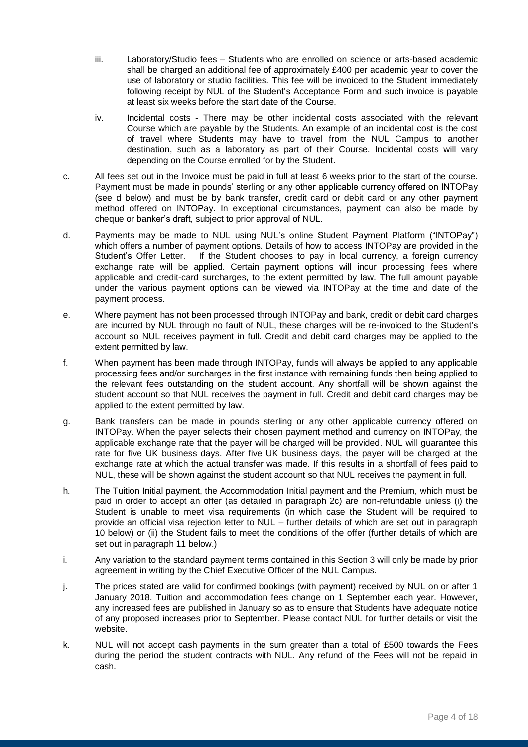- iii. Laboratory/Studio fees Students who are enrolled on science or arts-based academic shall be charged an additional fee of approximately £400 per academic year to cover the use of laboratory or studio facilities. This fee will be invoiced to the Student immediately following receipt by NUL of the Student's Acceptance Form and such invoice is payable at least six weeks before the start date of the Course.
- iv. Incidental costs There may be other incidental costs associated with the relevant Course which are payable by the Students. An example of an incidental cost is the cost of travel where Students may have to travel from the NUL Campus to another destination, such as a laboratory as part of their Course. Incidental costs will vary depending on the Course enrolled for by the Student.
- c. All fees set out in the Invoice must be paid in full at least 6 weeks prior to the start of the course. Payment must be made in pounds' sterling or any other applicable currency offered on INTOPay (see d below) and must be by bank transfer, credit card or debit card or any other payment method offered on INTOPay. In exceptional circumstances, payment can also be made by cheque or banker's draft, subject to prior approval of NUL.
- d. Payments may be made to NUL using NUL's online Student Payment Platform ("INTOPay") which offers a number of payment options. Details of how to access INTOPay are provided in the Student's Offer Letter. If the Student chooses to pay in local currency, a foreign currency exchange rate will be applied. Certain payment options will incur processing fees where applicable and credit-card surcharges, to the extent permitted by law. The full amount payable under the various payment options can be viewed via INTOPay at the time and date of the payment process.
- e. Where payment has not been processed through INTOPay and bank, credit or debit card charges are incurred by NUL through no fault of NUL, these charges will be re-invoiced to the Student's account so NUL receives payment in full. Credit and debit card charges may be applied to the extent permitted by law.
- f. When payment has been made through INTOPay, funds will always be applied to any applicable processing fees and/or surcharges in the first instance with remaining funds then being applied to the relevant fees outstanding on the student account. Any shortfall will be shown against the student account so that NUL receives the payment in full. Credit and debit card charges may be applied to the extent permitted by law.
- g. Bank transfers can be made in pounds sterling or any other applicable currency offered on INTOPay. When the payer selects their chosen payment method and currency on INTOPay, the applicable exchange rate that the payer will be charged will be provided. NUL will guarantee this rate for five UK business days. After five UK business days, the payer will be charged at the exchange rate at which the actual transfer was made. If this results in a shortfall of fees paid to NUL, these will be shown against the student account so that NUL receives the payment in full.
- h. The Tuition Initial payment, the Accommodation Initial payment and the Premium, which must be paid in order to accept an offer (as detailed in paragraph 2c) are non-refundable unless (i) the Student is unable to meet visa requirements (in which case the Student will be required to provide an official visa rejection letter to NUL – further details of which are set out in paragraph 10 below) or (ii) the Student fails to meet the conditions of the offer (further details of which are set out in paragraph 11 below.)
- i. Any variation to the standard payment terms contained in this Section 3 will only be made by prior agreement in writing by the Chief Executive Officer of the NUL Campus.
- j. The prices stated are valid for confirmed bookings (with payment) received by NUL on or after 1 January 2018. Tuition and accommodation fees change on 1 September each year. However, any increased fees are published in January so as to ensure that Students have adequate notice of any proposed increases prior to September. Please contact NUL for further details or visit the website.
- k. NUL will not accept cash payments in the sum greater than a total of £500 towards the Fees during the period the student contracts with NUL. Any refund of the Fees will not be repaid in cash.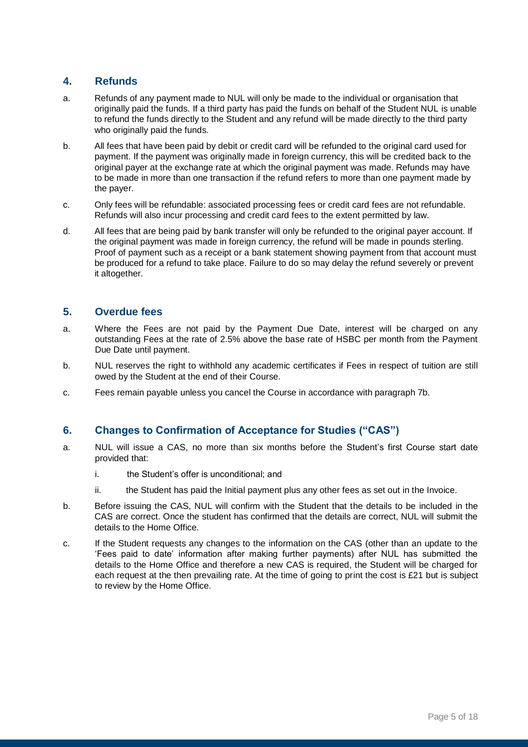#### **4. Refunds**

- a. Refunds of any payment made to NUL will only be made to the individual or organisation that originally paid the funds. If a third party has paid the funds on behalf of the Student NUL is unable to refund the funds directly to the Student and any refund will be made directly to the third party who originally paid the funds.
- b. All fees that have been paid by debit or credit card will be refunded to the original card used for payment. If the payment was originally made in foreign currency, this will be credited back to the original payer at the exchange rate at which the original payment was made. Refunds may have to be made in more than one transaction if the refund refers to more than one payment made by the payer.
- c. Only fees will be refundable: associated processing fees or credit card fees are not refundable. Refunds will also incur processing and credit card fees to the extent permitted by law.
- d. All fees that are being paid by bank transfer will only be refunded to the original payer account. If the original payment was made in foreign currency, the refund will be made in pounds sterling. Proof of payment such as a receipt or a bank statement showing payment from that account must be produced for a refund to take place. Failure to do so may delay the refund severely or prevent it altogether.

#### **5. Overdue fees**

- a. Where the Fees are not paid by the Payment Due Date, interest will be charged on any outstanding Fees at the rate of 2.5% above the base rate of HSBC per month from the Payment Due Date until payment.
- b. NUL reserves the right to withhold any academic certificates if Fees in respect of tuition are still owed by the Student at the end of their Course.
- c. Fees remain payable unless you cancel the Course in accordance with paragraph 7b.

#### **6. Changes to Confirmation of Acceptance for Studies ("CAS")**

- a. NUL will issue a CAS, no more than six months before the Student's first Course start date provided that:
	- i. the Student's offer is unconditional; and
	- ii. the Student has paid the Initial payment plus any other fees as set out in the Invoice.
- b. Before issuing the CAS, NUL will confirm with the Student that the details to be included in the CAS are correct. Once the student has confirmed that the details are correct, NUL will submit the details to the Home Office.
- c. If the Student requests any changes to the information on the CAS (other than an update to the 'Fees paid to date' information after making further payments) after NUL has submitted the details to the Home Office and therefore a new CAS is required, the Student will be charged for each request at the then prevailing rate. At the time of going to print the cost is £21 but is subject to review by the Home Office.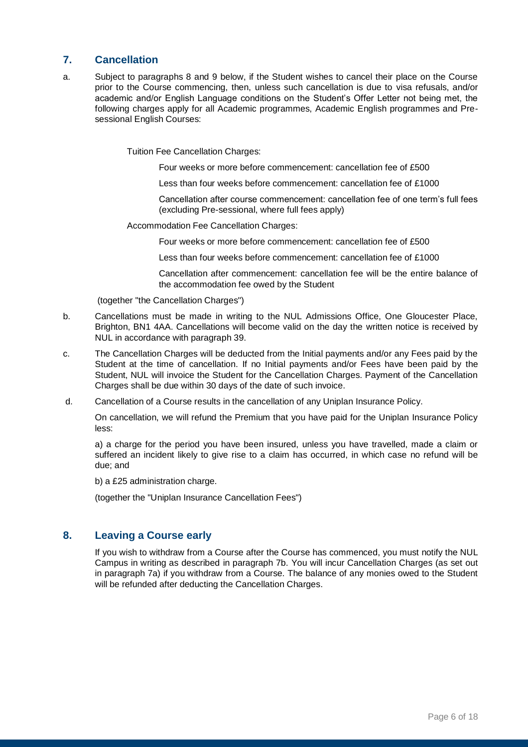#### **7. Cancellation**

a. Subject to paragraphs 8 and 9 below, if the Student wishes to cancel their place on the Course prior to the Course commencing, then, unless such cancellation is due to visa refusals, and/or academic and/or English Language conditions on the Student's Offer Letter not being met, the following charges apply for all Academic programmes, Academic English programmes and Presessional English Courses:

Tuition Fee Cancellation Charges:

Four weeks or more before commencement: cancellation fee of £500

Less than four weeks before commencement: cancellation fee of £1000

Cancellation after course commencement: cancellation fee of one term's full fees (excluding Pre-sessional, where full fees apply)

Accommodation Fee Cancellation Charges:

Four weeks or more before commencement: cancellation fee of £500

Less than four weeks before commencement: cancellation fee of £1000

Cancellation after commencement: cancellation fee will be the entire balance of the accommodation fee owed by the Student

(together "the Cancellation Charges")

- b. Cancellations must be made in writing to the NUL Admissions Office, One Gloucester Place, Brighton, BN1 4AA. Cancellations will become valid on the day the written notice is received by NUL in accordance with paragraph 39.
- c. The Cancellation Charges will be deducted from the Initial payments and/or any Fees paid by the Student at the time of cancellation. If no Initial payments and/or Fees have been paid by the Student, NUL will invoice the Student for the Cancellation Charges. Payment of the Cancellation Charges shall be due within 30 days of the date of such invoice.
- d. Cancellation of a Course results in the cancellation of any Uniplan Insurance Policy.

On cancellation, we will refund the Premium that you have paid for the Uniplan Insurance Policy less:

a) a charge for the period you have been insured, unless you have travelled, made a claim or suffered an incident likely to give rise to a claim has occurred, in which case no refund will be due; and

b) a £25 administration charge.

(together the "Uniplan Insurance Cancellation Fees")

#### **8. Leaving a Course early**

If you wish to withdraw from a Course after the Course has commenced, you must notify the NUL Campus in writing as described in paragraph 7b. You will incur Cancellation Charges (as set out in paragraph 7a) if you withdraw from a Course. The balance of any monies owed to the Student will be refunded after deducting the Cancellation Charges.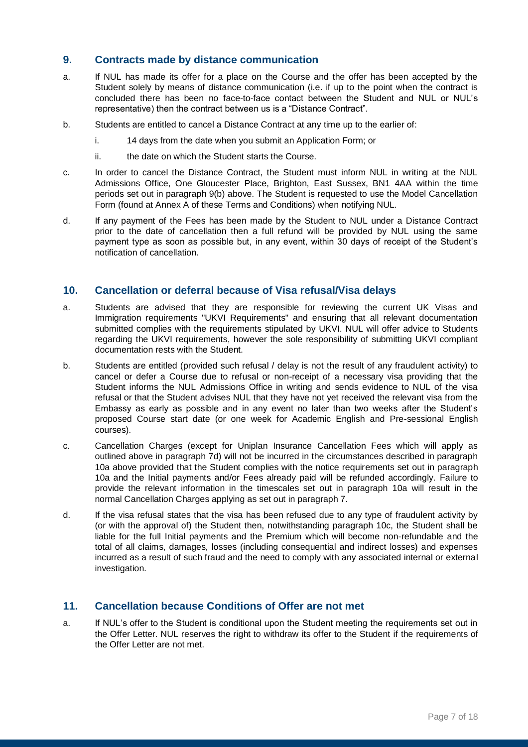#### **9. Contracts made by distance communication**

- a. If NUL has made its offer for a place on the Course and the offer has been accepted by the Student solely by means of distance communication (i.e. if up to the point when the contract is concluded there has been no face-to-face contact between the Student and NUL or NUL's representative) then the contract between us is a "Distance Contract".
- b. Students are entitled to cancel a Distance Contract at any time up to the earlier of:
	- i. 14 days from the date when you submit an Application Form; or
	- ii. the date on which the Student starts the Course.
- c. In order to cancel the Distance Contract, the Student must inform NUL in writing at the NUL Admissions Office, One Gloucester Place, Brighton, East Sussex, BN1 4AA within the time periods set out in paragraph 9(b) above. The Student is requested to use the Model Cancellation Form (found at Annex A of these Terms and Conditions) when notifying NUL.
- d. If any payment of the Fees has been made by the Student to NUL under a Distance Contract prior to the date of cancellation then a full refund will be provided by NUL using the same payment type as soon as possible but, in any event, within 30 days of receipt of the Student's notification of cancellation.

#### **10. Cancellation or deferral because of Visa refusal/Visa delays**

- a. Students are advised that they are responsible for reviewing the current UK Visas and Immigration requirements "UKVI Requirements" and ensuring that all relevant documentation submitted complies with the requirements stipulated by UKVI. NUL will offer advice to Students regarding the UKVI requirements, however the sole responsibility of submitting UKVI compliant documentation rests with the Student.
- b. Students are entitled (provided such refusal / delay is not the result of any fraudulent activity) to cancel or defer a Course due to refusal or non-receipt of a necessary visa providing that the Student informs the NUL Admissions Office in writing and sends evidence to NUL of the visa refusal or that the Student advises NUL that they have not yet received the relevant visa from the Embassy as early as possible and in any event no later than two weeks after the Student's proposed Course start date (or one week for Academic English and Pre-sessional English courses).
- c. Cancellation Charges (except for Uniplan Insurance Cancellation Fees which will apply as outlined above in paragraph 7d) will not be incurred in the circumstances described in paragraph 10a above provided that the Student complies with the notice requirements set out in paragraph 10a and the Initial payments and/or Fees already paid will be refunded accordingly. Failure to provide the relevant information in the timescales set out in paragraph 10a will result in the normal Cancellation Charges applying as set out in paragraph 7.
- d. If the visa refusal states that the visa has been refused due to any type of fraudulent activity by (or with the approval of) the Student then, notwithstanding paragraph 10c, the Student shall be liable for the full Initial payments and the Premium which will become non-refundable and the total of all claims, damages, losses (including consequential and indirect losses) and expenses incurred as a result of such fraud and the need to comply with any associated internal or external investigation.

#### **11. Cancellation because Conditions of Offer are not met**

a. If NUL's offer to the Student is conditional upon the Student meeting the requirements set out in the Offer Letter. NUL reserves the right to withdraw its offer to the Student if the requirements of the Offer Letter are not met.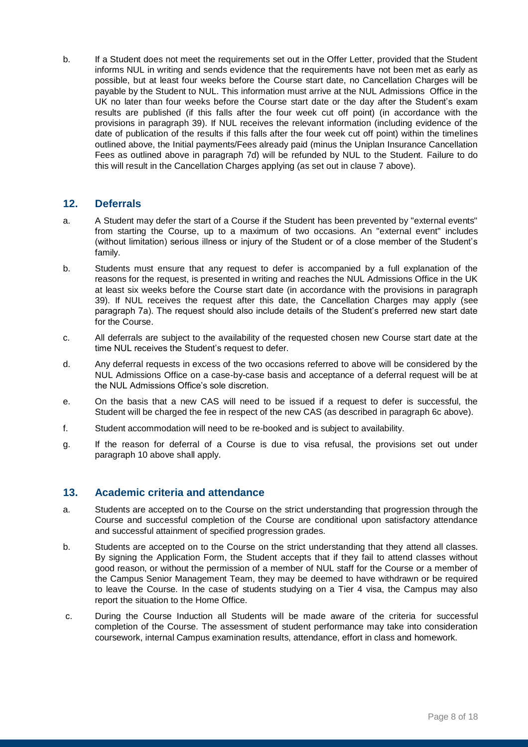b. If a Student does not meet the requirements set out in the Offer Letter, provided that the Student informs NUL in writing and sends evidence that the requirements have not been met as early as possible, but at least four weeks before the Course start date, no Cancellation Charges will be payable by the Student to NUL. This information must arrive at the NUL Admissions Office in the UK no later than four weeks before the Course start date or the day after the Student's exam results are published (if this falls after the four week cut off point) (in accordance with the provisions in paragraph 39). If NUL receives the relevant information (including evidence of the date of publication of the results if this falls after the four week cut off point) within the timelines outlined above, the Initial payments/Fees already paid (minus the Uniplan Insurance Cancellation Fees as outlined above in paragraph 7d) will be refunded by NUL to the Student. Failure to do this will result in the Cancellation Charges applying (as set out in clause 7 above).

#### **12. Deferrals**

- a. A Student may defer the start of a Course if the Student has been prevented by "external events" from starting the Course, up to a maximum of two occasions. An "external event" includes (without limitation) serious illness or injury of the Student or of a close member of the Student's family.
- b. Students must ensure that any request to defer is accompanied by a full explanation of the reasons for the request, is presented in writing and reaches the NUL Admissions Office in the UK at least six weeks before the Course start date (in accordance with the provisions in paragraph 39). If NUL receives the request after this date, the Cancellation Charges may apply (see paragraph 7a). The request should also include details of the Student's preferred new start date for the Course.
- c. All deferrals are subject to the availability of the requested chosen new Course start date at the time NUL receives the Student's request to defer.
- d. Any deferral requests in excess of the two occasions referred to above will be considered by the NUL Admissions Office on a case-by-case basis and acceptance of a deferral request will be at the NUL Admissions Office's sole discretion.
- e. On the basis that a new CAS will need to be issued if a request to defer is successful, the Student will be charged the fee in respect of the new CAS (as described in paragraph 6c above).
- f. Student accommodation will need to be re-booked and is subject to availability.
- g. If the reason for deferral of a Course is due to visa refusal, the provisions set out under paragraph 10 above shall apply.

#### **13. Academic criteria and attendance**

- a. Students are accepted on to the Course on the strict understanding that progression through the Course and successful completion of the Course are conditional upon satisfactory attendance and successful attainment of specified progression grades.
- b. Students are accepted on to the Course on the strict understanding that they attend all classes. By signing the Application Form, the Student accepts that if they fail to attend classes without good reason, or without the permission of a member of NUL staff for the Course or a member of the Campus Senior Management Team, they may be deemed to have withdrawn or be required to leave the Course. In the case of students studying on a Tier 4 visa, the Campus may also report the situation to the Home Office.
- c. During the Course Induction all Students will be made aware of the criteria for successful completion of the Course. The assessment of student performance may take into consideration coursework, internal Campus examination results, attendance, effort in class and homework.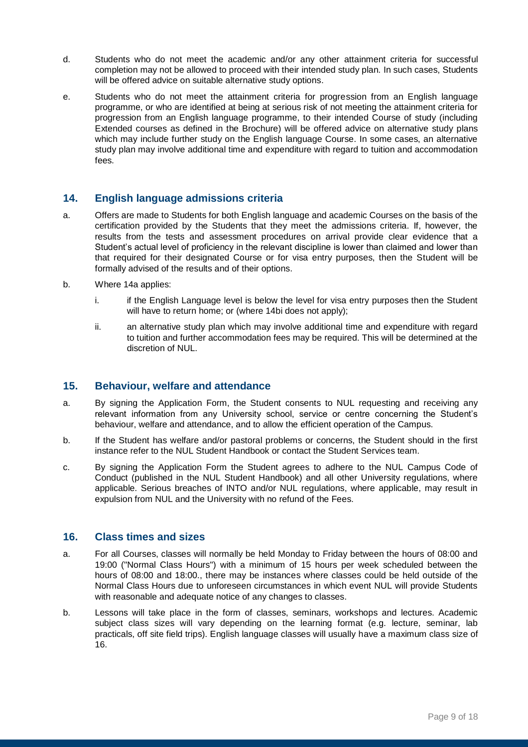- d. Students who do not meet the academic and/or any other attainment criteria for successful completion may not be allowed to proceed with their intended study plan. In such cases, Students will be offered advice on suitable alternative study options.
- e. Students who do not meet the attainment criteria for progression from an English language programme, or who are identified at being at serious risk of not meeting the attainment criteria for progression from an English language programme, to their intended Course of study (including Extended courses as defined in the Brochure) will be offered advice on alternative study plans which may include further study on the English language Course. In some cases, an alternative study plan may involve additional time and expenditure with regard to tuition and accommodation fees.

#### **14. English language admissions criteria**

- a. Offers are made to Students for both English language and academic Courses on the basis of the certification provided by the Students that they meet the admissions criteria. If, however, the results from the tests and assessment procedures on arrival provide clear evidence that a Student's actual level of proficiency in the relevant discipline is lower than claimed and lower than that required for their designated Course or for visa entry purposes, then the Student will be formally advised of the results and of their options.
- b. Where 14a applies:
	- i. if the English Language level is below the level for visa entry purposes then the Student will have to return home; or (where 14bi does not apply);
	- ii. an alternative study plan which may involve additional time and expenditure with regard to tuition and further accommodation fees may be required. This will be determined at the discretion of NUL.

#### **15. Behaviour, welfare and attendance**

- a. By signing the Application Form, the Student consents to NUL requesting and receiving any relevant information from any University school, service or centre concerning the Student's behaviour, welfare and attendance, and to allow the efficient operation of the Campus.
- b. If the Student has welfare and/or pastoral problems or concerns, the Student should in the first instance refer to the NUL Student Handbook or contact the Student Services team.
- c. By signing the Application Form the Student agrees to adhere to the NUL Campus Code of Conduct (published in the NUL Student Handbook) and all other University regulations, where applicable. Serious breaches of INTO and/or NUL regulations, where applicable, may result in expulsion from NUL and the University with no refund of the Fees.

#### **16. Class times and sizes**

- a. For all Courses, classes will normally be held Monday to Friday between the hours of 08:00 and 19:00 ("Normal Class Hours") with a minimum of 15 hours per week scheduled between the hours of 08:00 and 18:00., there may be instances where classes could be held outside of the Normal Class Hours due to unforeseen circumstances in which event NUL will provide Students with reasonable and adequate notice of any changes to classes.
- b. Lessons will take place in the form of classes, seminars, workshops and lectures. Academic subject class sizes will vary depending on the learning format (e.g. lecture, seminar, lab practicals, off site field trips). English language classes will usually have a maximum class size of 16.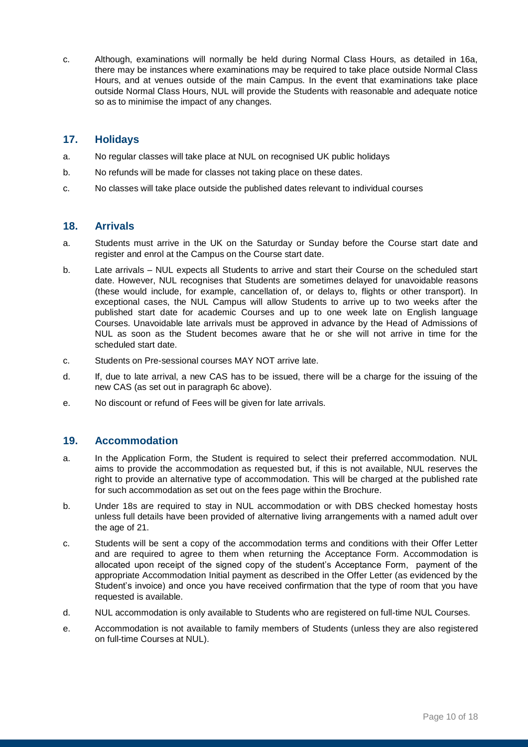c. Although, examinations will normally be held during Normal Class Hours, as detailed in 16a, there may be instances where examinations may be required to take place outside Normal Class Hours, and at venues outside of the main Campus. In the event that examinations take place outside Normal Class Hours, NUL will provide the Students with reasonable and adequate notice so as to minimise the impact of any changes.

#### **17. Holidays**

- a. No regular classes will take place at NUL on recognised UK public holidays
- b. No refunds will be made for classes not taking place on these dates.
- c. No classes will take place outside the published dates relevant to individual courses

#### **18. Arrivals**

- a. Students must arrive in the UK on the Saturday or Sunday before the Course start date and register and enrol at the Campus on the Course start date.
- b. Late arrivals NUL expects all Students to arrive and start their Course on the scheduled start date. However, NUL recognises that Students are sometimes delayed for unavoidable reasons (these would include, for example, cancellation of, or delays to, flights or other transport). In exceptional cases, the NUL Campus will allow Students to arrive up to two weeks after the published start date for academic Courses and up to one week late on English language Courses. Unavoidable late arrivals must be approved in advance by the Head of Admissions of NUL as soon as the Student becomes aware that he or she will not arrive in time for the scheduled start date.
- c. Students on Pre-sessional courses MAY NOT arrive late.
- d. If, due to late arrival, a new CAS has to be issued, there will be a charge for the issuing of the new CAS (as set out in paragraph 6c above).
- e. No discount or refund of Fees will be given for late arrivals.

#### **19. Accommodation**

- a. In the Application Form, the Student is required to select their preferred accommodation. NUL aims to provide the accommodation as requested but, if this is not available, NUL reserves the right to provide an alternative type of accommodation. This will be charged at the published rate for such accommodation as set out on the fees page within the Brochure.
- b. Under 18s are required to stay in NUL accommodation or with DBS checked homestay hosts unless full details have been provided of alternative living arrangements with a named adult over the age of 21.
- c. Students will be sent a copy of the accommodation terms and conditions with their Offer Letter and are required to agree to them when returning the Acceptance Form. Accommodation is allocated upon receipt of the signed copy of the student's Acceptance Form, payment of the appropriate Accommodation Initial payment as described in the Offer Letter (as evidenced by the Student's invoice) and once you have received confirmation that the type of room that you have requested is available.
- d. NUL accommodation is only available to Students who are registered on full-time NUL Courses.
- e. Accommodation is not available to family members of Students (unless they are also registered on full-time Courses at NUL).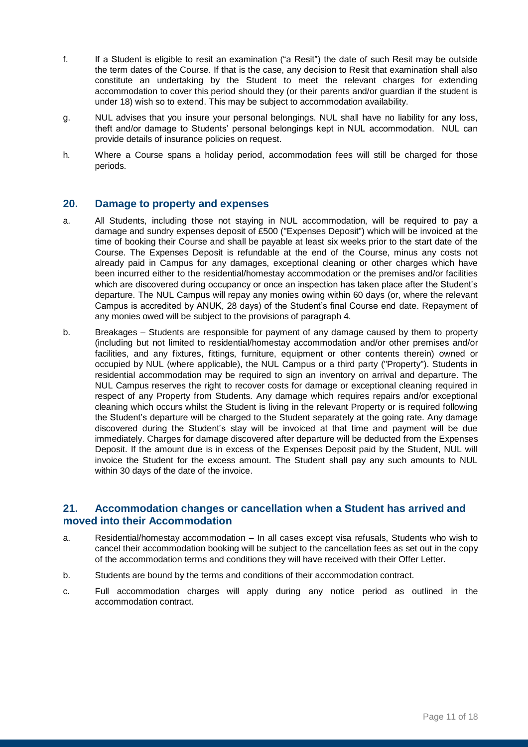- f. If a Student is eligible to resit an examination ("a Resit") the date of such Resit may be outside the term dates of the Course. If that is the case, any decision to Resit that examination shall also constitute an undertaking by the Student to meet the relevant charges for extending accommodation to cover this period should they (or their parents and/or guardian if the student is under 18) wish so to extend. This may be subject to accommodation availability.
- g. NUL advises that you insure your personal belongings. NUL shall have no liability for any loss, theft and/or damage to Students' personal belongings kept in NUL accommodation. NUL can provide details of insurance policies on request.
- h. Where a Course spans a holiday period, accommodation fees will still be charged for those periods.

#### **20. Damage to property and expenses**

- a. All Students, including those not staying in NUL accommodation, will be required to pay a damage and sundry expenses deposit of £500 ("Expenses Deposit") which will be invoiced at the time of booking their Course and shall be payable at least six weeks prior to the start date of the Course. The Expenses Deposit is refundable at the end of the Course, minus any costs not already paid in Campus for any damages, exceptional cleaning or other charges which have been incurred either to the residential/homestay accommodation or the premises and/or facilities which are discovered during occupancy or once an inspection has taken place after the Student's departure. The NUL Campus will repay any monies owing within 60 days (or, where the relevant Campus is accredited by ANUK, 28 days) of the Student's final Course end date. Repayment of any monies owed will be subject to the provisions of paragraph 4.
- b. Breakages Students are responsible for payment of any damage caused by them to property (including but not limited to residential/homestay accommodation and/or other premises and/or facilities, and any fixtures, fittings, furniture, equipment or other contents therein) owned or occupied by NUL (where applicable), the NUL Campus or a third party ("Property"). Students in residential accommodation may be required to sign an inventory on arrival and departure. The NUL Campus reserves the right to recover costs for damage or exceptional cleaning required in respect of any Property from Students. Any damage which requires repairs and/or exceptional cleaning which occurs whilst the Student is living in the relevant Property or is required following the Student's departure will be charged to the Student separately at the going rate. Any damage discovered during the Student's stay will be invoiced at that time and payment will be due immediately. Charges for damage discovered after departure will be deducted from the Expenses Deposit. If the amount due is in excess of the Expenses Deposit paid by the Student, NUL will invoice the Student for the excess amount. The Student shall pay any such amounts to NUL within 30 days of the date of the invoice.

#### **21. Accommodation changes or cancellation when a Student has arrived and moved into their Accommodation**

- a. Residential/homestay accommodation In all cases except visa refusals, Students who wish to cancel their accommodation booking will be subject to the cancellation fees as set out in the copy of the accommodation terms and conditions they will have received with their Offer Letter.
- b. Students are bound by the terms and conditions of their accommodation contract.
- c. Full accommodation charges will apply during any notice period as outlined in the accommodation contract.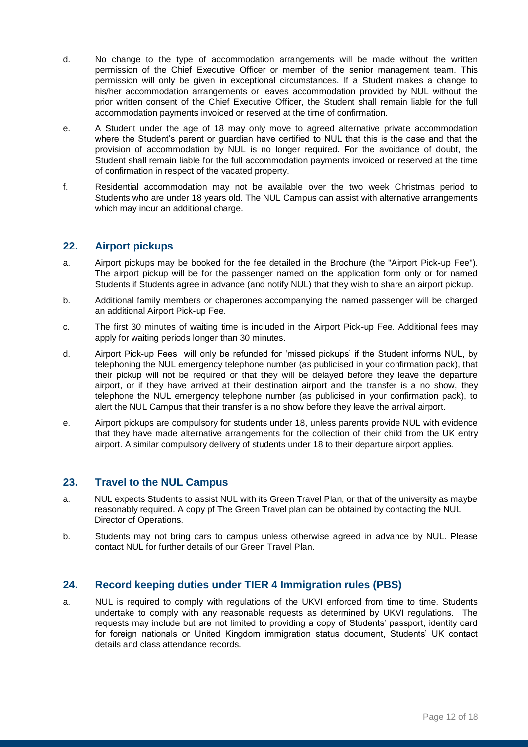- d. No change to the type of accommodation arrangements will be made without the written permission of the Chief Executive Officer or member of the senior management team. This permission will only be given in exceptional circumstances. If a Student makes a change to his/her accommodation arrangements or leaves accommodation provided by NUL without the prior written consent of the Chief Executive Officer, the Student shall remain liable for the full accommodation payments invoiced or reserved at the time of confirmation.
- e. A Student under the age of 18 may only move to agreed alternative private accommodation where the Student's parent or guardian have certified to NUL that this is the case and that the provision of accommodation by NUL is no longer required. For the avoidance of doubt, the Student shall remain liable for the full accommodation payments invoiced or reserved at the time of confirmation in respect of the vacated property.
- f. Residential accommodation may not be available over the two week Christmas period to Students who are under 18 years old. The NUL Campus can assist with alternative arrangements which may incur an additional charge.

#### **22. Airport pickups**

- a. Airport pickups may be booked for the fee detailed in the Brochure (the "Airport Pick-up Fee"). The airport pickup will be for the passenger named on the application form only or for named Students if Students agree in advance (and notify NUL) that they wish to share an airport pickup.
- b. Additional family members or chaperones accompanying the named passenger will be charged an additional Airport Pick-up Fee.
- c. The first 30 minutes of waiting time is included in the Airport Pick-up Fee. Additional fees may apply for waiting periods longer than 30 minutes.
- d. Airport Pick-up Fees will only be refunded for 'missed pickups' if the Student informs NUL, by telephoning the NUL emergency telephone number (as publicised in your confirmation pack), that their pickup will not be required or that they will be delayed before they leave the departure airport, or if they have arrived at their destination airport and the transfer is a no show, they telephone the NUL emergency telephone number (as publicised in your confirmation pack), to alert the NUL Campus that their transfer is a no show before they leave the arrival airport.
- e. Airport pickups are compulsory for students under 18, unless parents provide NUL with evidence that they have made alternative arrangements for the collection of their child from the UK entry airport. A similar compulsory delivery of students under 18 to their departure airport applies.

#### **23. Travel to the NUL Campus**

- a. NUL expects Students to assist NUL with its Green Travel Plan, or that of the university as maybe reasonably required. A copy pf The Green Travel plan can be obtained by contacting the NUL Director of Operations.
- b. Students may not bring cars to campus unless otherwise agreed in advance by NUL. Please contact NUL for further details of our Green Travel Plan.

#### **24. Record keeping duties under TIER 4 Immigration rules (PBS)**

a. NUL is required to comply with regulations of the UKVI enforced from time to time. Students undertake to comply with any reasonable requests as determined by UKVI regulations. The requests may include but are not limited to providing a copy of Students' passport, identity card for foreign nationals or United Kingdom immigration status document, Students' UK contact details and class attendance records.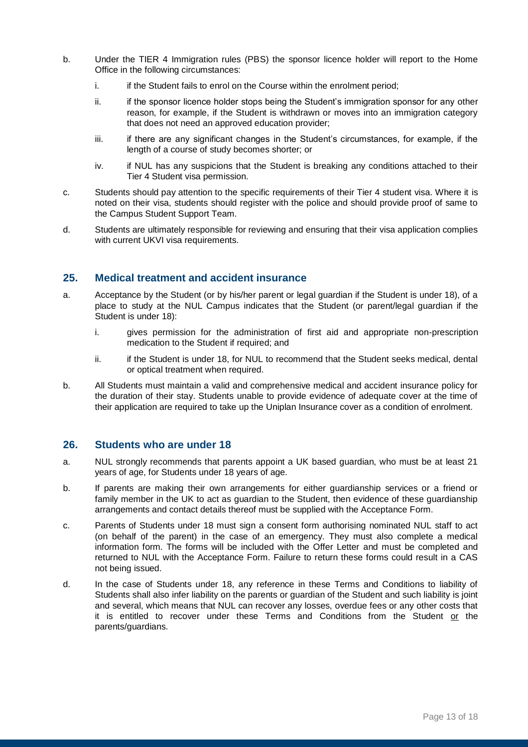- b. Under the TIER 4 Immigration rules (PBS) the sponsor licence holder will report to the Home Office in the following circumstances:
	- i. if the Student fails to enrol on the Course within the enrolment period;
	- ii. if the sponsor licence holder stops being the Student's immigration sponsor for any other reason, for example, if the Student is withdrawn or moves into an immigration category that does not need an approved education provider;
	- iii. if there are any significant changes in the Student's circumstances, for example, if the length of a course of study becomes shorter; or
	- iv. if NUL has any suspicions that the Student is breaking any conditions attached to their Tier 4 Student visa permission.
- c. Students should pay attention to the specific requirements of their Tier 4 student visa. Where it is noted on their visa, students should register with the police and should provide proof of same to the Campus Student Support Team.
- d. Students are ultimately responsible for reviewing and ensuring that their visa application complies with current UKVI visa requirements.

#### **25. Medical treatment and accident insurance**

- a. Acceptance by the Student (or by his/her parent or legal guardian if the Student is under 18), of a place to study at the NUL Campus indicates that the Student (or parent/legal guardian if the Student is under 18):
	- i. gives permission for the administration of first aid and appropriate non-prescription medication to the Student if required; and
	- ii. if the Student is under 18, for NUL to recommend that the Student seeks medical, dental or optical treatment when required.
- b. All Students must maintain a valid and comprehensive medical and accident insurance policy for the duration of their stay. Students unable to provide evidence of adequate cover at the time of their application are required to take up the Uniplan Insurance cover as a condition of enrolment.

#### **26. Students who are under 18**

- a. NUL strongly recommends that parents appoint a UK based guardian, who must be at least 21 years of age, for Students under 18 years of age.
- b. If parents are making their own arrangements for either guardianship services or a friend or family member in the UK to act as guardian to the Student, then evidence of these guardianship arrangements and contact details thereof must be supplied with the Acceptance Form.
- c. Parents of Students under 18 must sign a consent form authorising nominated NUL staff to act (on behalf of the parent) in the case of an emergency. They must also complete a medical information form. The forms will be included with the Offer Letter and must be completed and returned to NUL with the Acceptance Form. Failure to return these forms could result in a CAS not being issued.
- d. In the case of Students under 18, any reference in these Terms and Conditions to liability of Students shall also infer liability on the parents or guardian of the Student and such liability is joint and several, which means that NUL can recover any losses, overdue fees or any other costs that it is entitled to recover under these Terms and Conditions from the Student or the parents/guardians.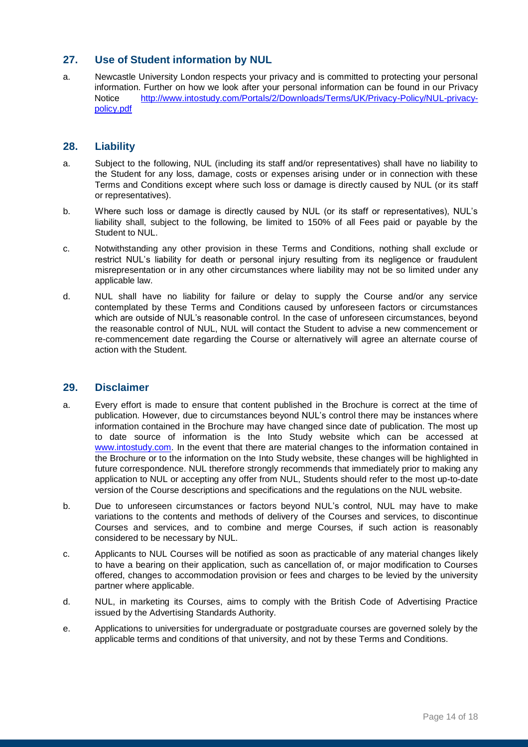#### **27. Use of Student information by NUL**

a. Newcastle University London respects your privacy and is committed to protecting your personal information. Further on how we look after your personal information can be found in our Privacy Notice [http://www.intostudy.com/Portals/2/Downloads/Terms/UK/Privacy-Policy/NUL-privacy](http://www.intostudy.com/Portals/2/Downloads/Terms/UK/Privacy-Policy/NUL-privacy-policy.pdf)[policy.pdf](http://www.intostudy.com/Portals/2/Downloads/Terms/UK/Privacy-Policy/NUL-privacy-policy.pdf)

#### **28. Liability**

- a. Subject to the following, NUL (including its staff and/or representatives) shall have no liability to the Student for any loss, damage, costs or expenses arising under or in connection with these Terms and Conditions except where such loss or damage is directly caused by NUL (or its staff or representatives).
- b. Where such loss or damage is directly caused by NUL (or its staff or representatives), NUL's liability shall, subject to the following, be limited to 150% of all Fees paid or payable by the Student to NUL.
- c. Notwithstanding any other provision in these Terms and Conditions, nothing shall exclude or restrict NUL's liability for death or personal injury resulting from its negligence or fraudulent misrepresentation or in any other circumstances where liability may not be so limited under any applicable law.
- d. NUL shall have no liability for failure or delay to supply the Course and/or any service contemplated by these Terms and Conditions caused by unforeseen factors or circumstances which are outside of NUL's reasonable control. In the case of unforeseen circumstances, beyond the reasonable control of NUL, NUL will contact the Student to advise a new commencement or re-commencement date regarding the Course or alternatively will agree an alternate course of action with the Student.

#### **29. Disclaimer**

- a. Every effort is made to ensure that content published in the Brochure is correct at the time of publication. However, due to circumstances beyond NUL's control there may be instances where information contained in the Brochure may have changed since date of publication. The most up to date source of information is the Into Study website which can be accessed at [www.intostudy.com.](http://www.intostudy.com/) In the event that there are material changes to the information contained in the Brochure or to the information on the Into Study website, these changes will be highlighted in future correspondence. NUL therefore strongly recommends that immediately prior to making any application to NUL or accepting any offer from NUL, Students should refer to the most up-to-date version of the Course descriptions and specifications and the regulations on the NUL website.
- b. Due to unforeseen circumstances or factors beyond NUL's control, NUL may have to make variations to the contents and methods of delivery of the Courses and services, to discontinue Courses and services, and to combine and merge Courses, if such action is reasonably considered to be necessary by NUL.
- c. Applicants to NUL Courses will be notified as soon as practicable of any material changes likely to have a bearing on their application, such as cancellation of, or major modification to Courses offered, changes to accommodation provision or fees and charges to be levied by the university partner where applicable.
- d. NUL, in marketing its Courses, aims to comply with the British Code of Advertising Practice issued by the Advertising Standards Authority.
- e. Applications to universities for undergraduate or postgraduate courses are governed solely by the applicable terms and conditions of that university, and not by these Terms and Conditions.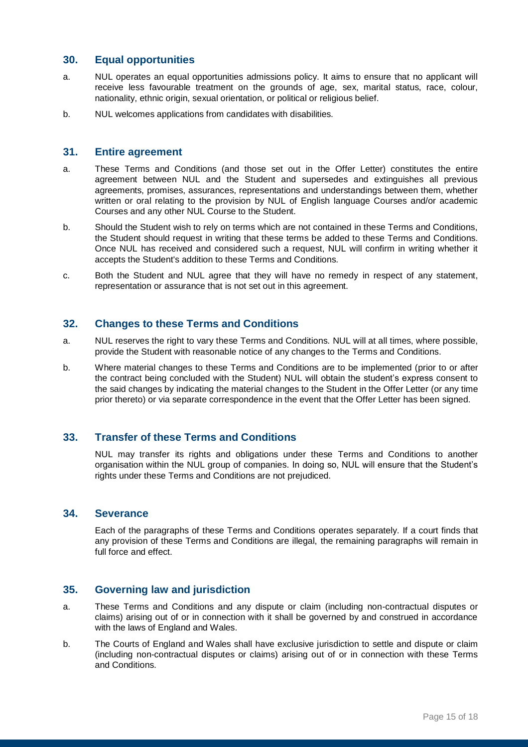#### **30. Equal opportunities**

- a. NUL operates an equal opportunities admissions policy. It aims to ensure that no applicant will receive less favourable treatment on the grounds of age, sex, marital status, race, colour, nationality, ethnic origin, sexual orientation, or political or religious belief.
- b. NUL welcomes applications from candidates with disabilities.

#### **31. Entire agreement**

- a. These Terms and Conditions (and those set out in the Offer Letter) constitutes the entire agreement between NUL and the Student and supersedes and extinguishes all previous agreements, promises, assurances, representations and understandings between them, whether written or oral relating to the provision by NUL of English language Courses and/or academic Courses and any other NUL Course to the Student.
- b. Should the Student wish to rely on terms which are not contained in these Terms and Conditions, the Student should request in writing that these terms be added to these Terms and Conditions. Once NUL has received and considered such a request, NUL will confirm in writing whether it accepts the Student's addition to these Terms and Conditions.
- c. Both the Student and NUL agree that they will have no remedy in respect of any statement, representation or assurance that is not set out in this agreement.

#### **32. Changes to these Terms and Conditions**

- a. NUL reserves the right to vary these Terms and Conditions. NUL will at all times, where possible, provide the Student with reasonable notice of any changes to the Terms and Conditions.
- b. Where material changes to these Terms and Conditions are to be implemented (prior to or after the contract being concluded with the Student) NUL will obtain the student's express consent to the said changes by indicating the material changes to the Student in the Offer Letter (or any time prior thereto) or via separate correspondence in the event that the Offer Letter has been signed.

#### **33. Transfer of these Terms and Conditions**

NUL may transfer its rights and obligations under these Terms and Conditions to another organisation within the NUL group of companies. In doing so, NUL will ensure that the Student's rights under these Terms and Conditions are not prejudiced.

#### **34. Severance**

Each of the paragraphs of these Terms and Conditions operates separately. If a court finds that any provision of these Terms and Conditions are illegal, the remaining paragraphs will remain in full force and effect.

#### **35. Governing law and jurisdiction**

- a. These Terms and Conditions and any dispute or claim (including non-contractual disputes or claims) arising out of or in connection with it shall be governed by and construed in accordance with the laws of England and Wales.
- b. The Courts of England and Wales shall have exclusive jurisdiction to settle and dispute or claim (including non-contractual disputes or claims) arising out of or in connection with these Terms and Conditions.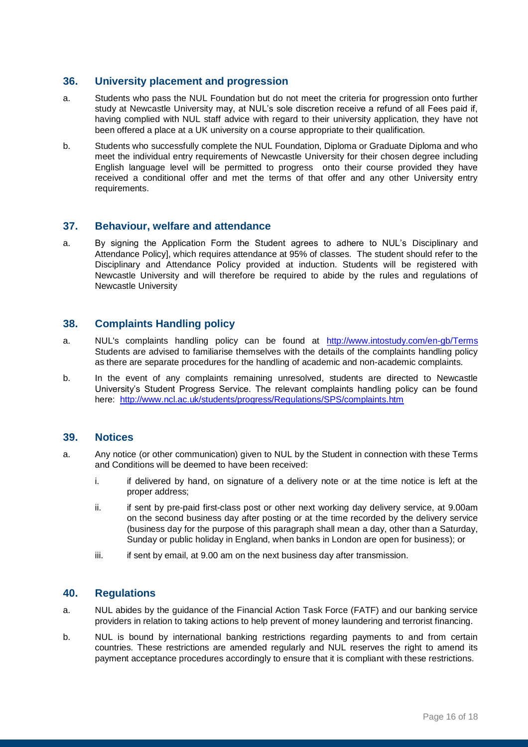#### **36. University placement and progression**

- a. Students who pass the NUL Foundation but do not meet the criteria for progression onto further study at Newcastle University may, at NUL's sole discretion receive a refund of all Fees paid if, having complied with NUL staff advice with regard to their university application, they have not been offered a place at a UK university on a course appropriate to their qualification.
- b. Students who successfully complete the NUL Foundation, Diploma or Graduate Diploma and who meet the individual entry requirements of Newcastle University for their chosen degree including English language level will be permitted to progress onto their course provided they have received a conditional offer and met the terms of that offer and any other University entry requirements.

#### **37. Behaviour, welfare and attendance**

a. By signing the Application Form the Student agrees to adhere to NUL's Disciplinary and Attendance Policy], which requires attendance at 95% of classes. The student should refer to the Disciplinary and Attendance Policy provided at induction. Students will be registered with Newcastle University and will therefore be required to abide by the rules and regulations of Newcastle University

#### **38. Complaints Handling policy**

- a. NUL's complaints handling policy can be found at <http://www.intostudy.com/en-gb/Terms> Students are advised to familiarise themselves with the details of the complaints handling policy as there are separate procedures for the handling of academic and non-academic complaints.
- b. In the event of any complaints remaining unresolved, students are directed to Newcastle University's Student Progress Service. The relevant complaints handling policy can be found here: <http://www.ncl.ac.uk/students/progress/Regulations/SPS/complaints.htm>

#### **39. Notices**

- a. Any notice (or other communication) given to NUL by the Student in connection with these Terms and Conditions will be deemed to have been received:
	- i. if delivered by hand, on signature of a delivery note or at the time notice is left at the proper address;
	- ii. if sent by pre-paid first-class post or other next working day delivery service, at 9.00am on the second business day after posting or at the time recorded by the delivery service (business day for the purpose of this paragraph shall mean a day, other than a Saturday, Sunday or public holiday in England, when banks in London are open for business); or
	- $iii.$  if sent by email, at 9.00 am on the next business day after transmission.

#### **40. Regulations**

- a. NUL abides by the guidance of the Financial Action Task Force (FATF) and our banking service providers in relation to taking actions to help prevent of money laundering and terrorist financing.
- b. NUL is bound by international banking restrictions regarding payments to and from certain countries. These restrictions are amended regularly and NUL reserves the right to amend its payment acceptance procedures accordingly to ensure that it is compliant with these restrictions.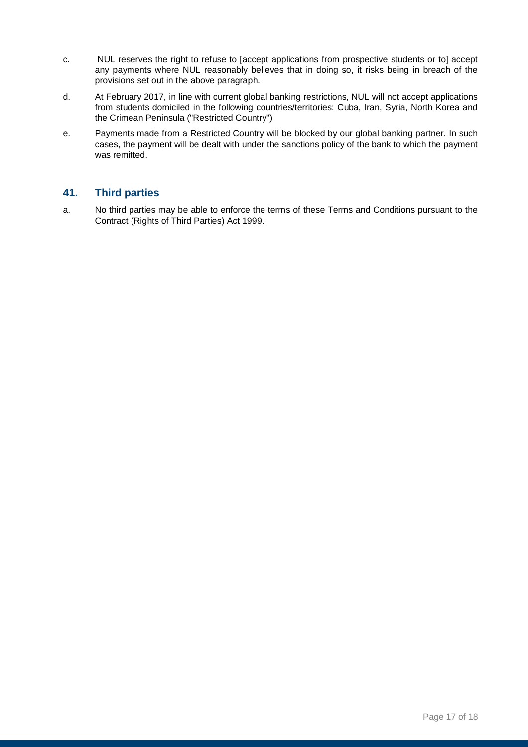- c. NUL reserves the right to refuse to [accept applications from prospective students or to] accept any payments where NUL reasonably believes that in doing so, it risks being in breach of the provisions set out in the above paragraph.
- d. At February 2017, in line with current global banking restrictions, NUL will not accept applications from students domiciled in the following countries/territories: Cuba, Iran, Syria, North Korea and the Crimean Peninsula ("Restricted Country")
- e. Payments made from a Restricted Country will be blocked by our global banking partner. In such cases, the payment will be dealt with under the sanctions policy of the bank to which the payment was remitted.

### **41. Third parties**

a. No third parties may be able to enforce the terms of these Terms and Conditions pursuant to the Contract (Rights of Third Parties) Act 1999.